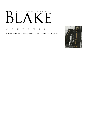# AN ILLUSTRATED QUARTERLY

C O N T E N T S

Blake/An Illustrated Quarterly, Volume 10, Issue 1, Summer 1976, pp. 1-3

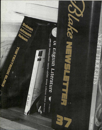# **ABRAMS · DOMALDSON · SMITH · ADAMS · MONK · LIPKING · FORD · DAICHES** oi English Literature

T

Morris

 $\frac{1}{\sqrt{2}}$ 

**TARAY** 

STUTIS ARLINA

U. III. III

OELL

 $\frac{1}{10173}$ 

1745

**Card Card** 

No. of the Column St.

 $\Box$ 

5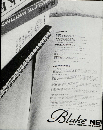# CONTENTS

CONCINE

### **News News**<br>1976 MLA Blake Seminar, Santa Barbara<br>Conference, Frost's KPEK *Island*, Golgonuoza The Textbook Blake Choosing Textbooks for Blake Courses A Survey The Bravery of William Blake by David Erman  $59$ **Minute Particulars** Blake Anthologies by J. Walter Nelson yampire Bats & Blake's Spectre by James Bogan 35 "The Very William Blake of Living Landscape ask. calvert's "Lady & the Pooks" & Cornish Stenes by Raymond Lister **Discussion** 三度 **Pinel's Motto**": Likely & Unlikely Sources by<br>**Michael Tolley** and Michael Ferber Copyright @1976 by Morris Faves & Morton D. Paley 36

## **CONTRIBUTORS**

James Bogan teaches poetry to engineers at the university of Missouri-for the traveler new to that region. He is a crosscountry loper.

Martin Butlin is Keeper of the British Gollection at the Tate<br>Gallery, London, and a specialist in the work of Blake and<br>Turner. He has recently completed a detailed catalogue of<br>Blake's paintings, drawings, and color prin

David V. Erdman is Professor of English at the State University<br>of New York at Stony Brook and Director of Publications at<br>the New York Public Library The worries about sufficient funds

Michael Ferber, an Assistant Professor at Yale, wrote his<br>dissertation on "Religion and Politics in William Blake" at<br>Harvard, "Blake's The, and the Bride of Christ" is furthcoming

Mary Lynn Johnson of Georgia State University has published<br>writeles and reviews on Blake, Wordsworth, Coleridge, and Keats.<br>Edition of Blake, to be published in 1977.

Raymond Lister is Senior Research Fellow of Wolfson College, Raymond Lister<br>Cambridge, Chairman of the Hoard of Governors of the Federation<br>of British Artists, and President of the Royal Society of Miniature Painters, Sculptors and Gravers,